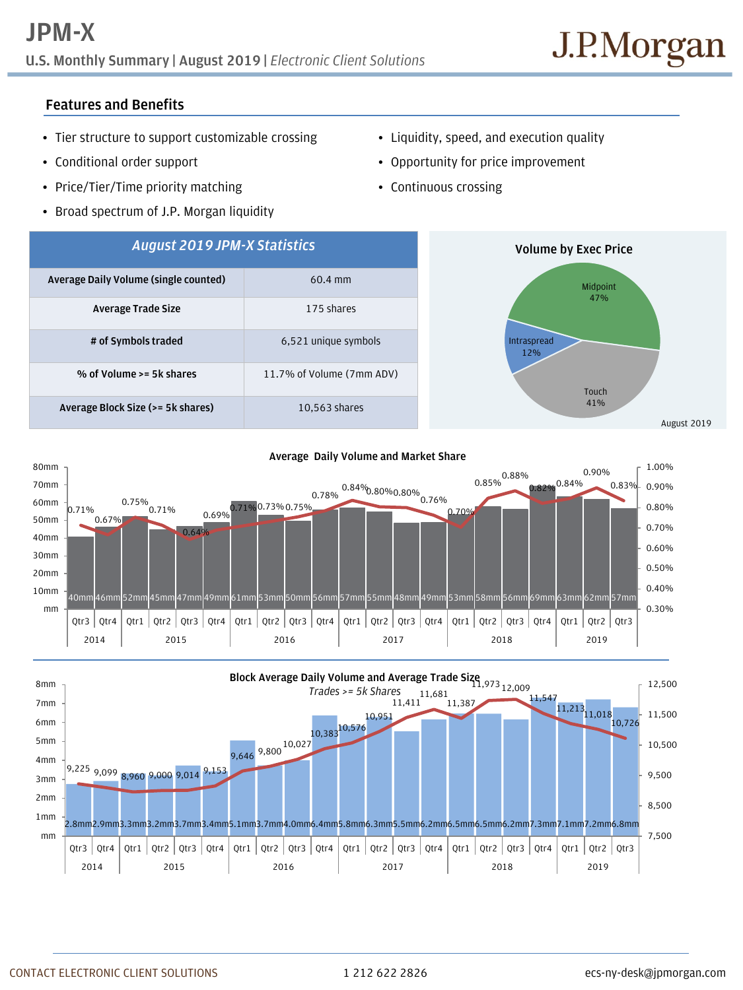**U.S. Monthly Summary | August 2019 |** *Electronic Client Solutions*

## **Features and Benefits**

- Tier structure to support customizable crossing
- Conditional order support
- Price/Tier/Time priority matching
- Broad spectrum of J.P. Morgan liquidity
- Liquidity, speed, and execution quality
- Opportunity for price improvement
- Continuous crossing